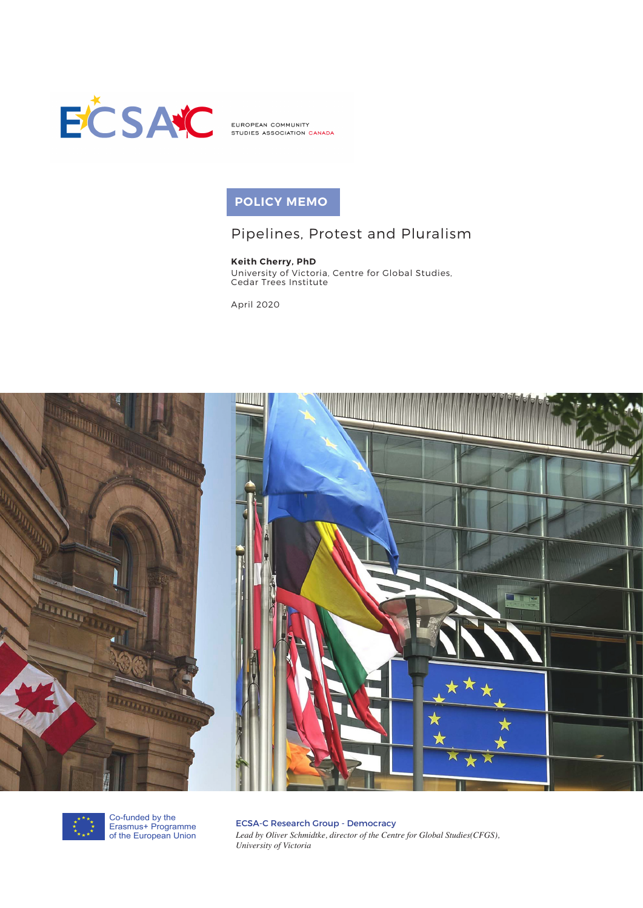

EUROPEAN COMMUNITY STUDIES ASSOCIATION CANADA

# **POLICY MEMO**

# Pipelines, Protest and Pluralism

# **Keith Cherry, PhD**

University of Victoria, Centre for Global Studies, Cedar Trees Institute

April 2020





Co-funded by the Erasmus+ Programme of the European Union

ECSA-C Research Group - Democracy *Lead by Oliver Schmidtke, director of the Centre for Global Studies(CFGS), University of Victoria*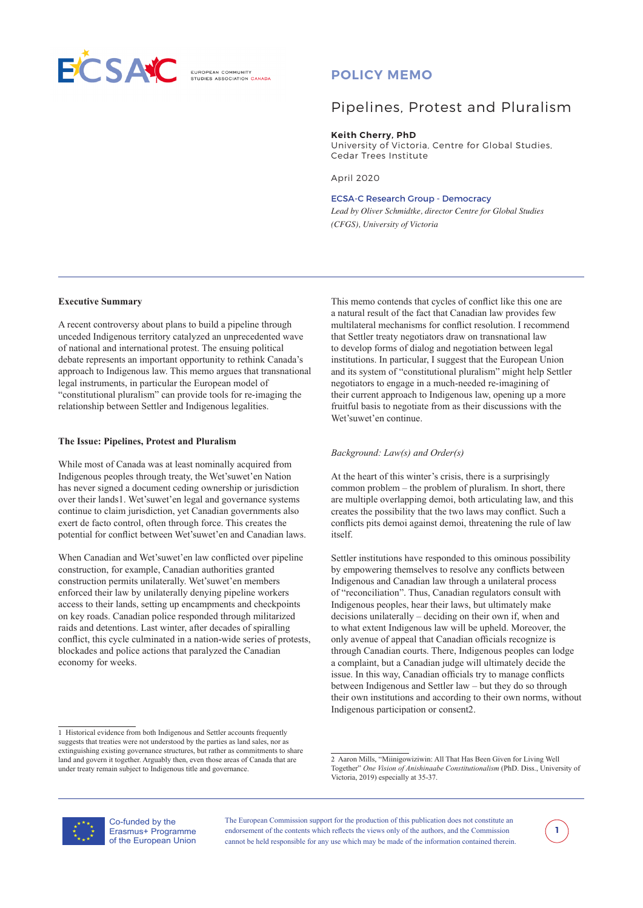

**ELIBOREAN COMMUNITY** 

# **POLICY MEMO**

# Pipelines, Protest and Pluralism

**Keith Cherry, PhD**

University of Victoria, Centre for Global Studies, Cedar Trees Institute

April 2020

#### ECSA-C Research Group - Democracy

*Lead by Oliver Schmidtke, director Centre for Global Studies (CFGS), University of Victoria*

#### **Executive Summary**

A recent controversy about plans to build a pipeline through unceded Indigenous territory catalyzed an unprecedented wave of national and international protest. The ensuing political debate represents an important opportunity to rethink Canada's approach to Indigenous law. This memo argues that transnational legal instruments, in particular the European model of "constitutional pluralism" can provide tools for re-imaging the relationship between Settler and Indigenous legalities.

#### **The Issue: Pipelines, Protest and Pluralism**

While most of Canada was at least nominally acquired from Indigenous peoples through treaty, the Wet'suwet'en Nation has never signed a document ceding ownership or jurisdiction over their lands1. Wet'suwet'en legal and governance systems continue to claim jurisdiction, yet Canadian governments also exert de facto control, often through force. This creates the potential for conflict between Wet'suwet'en and Canadian laws.

When Canadian and Wet'suwet'en law conflicted over pipeline construction, for example, Canadian authorities granted construction permits unilaterally. Wet'suwet'en members enforced their law by unilaterally denying pipeline workers access to their lands, setting up encampments and checkpoints on key roads. Canadian police responded through militarized raids and detentions. Last winter, after decades of spiralling conflict, this cycle culminated in a nation-wide series of protests, blockades and police actions that paralyzed the Canadian economy for weeks.

This memo contends that cycles of conflict like this one are a natural result of the fact that Canadian law provides few multilateral mechanisms for conflict resolution. I recommend that Settler treaty negotiators draw on transnational law to develop forms of dialog and negotiation between legal institutions. In particular, I suggest that the European Union and its system of "constitutional pluralism" might help Settler negotiators to engage in a much-needed re-imagining of their current approach to Indigenous law, opening up a more fruitful basis to negotiate from as their discussions with the Wet'suwet'en continue.

## *Background: Law(s) and Order(s)*

At the heart of this winter's crisis, there is a surprisingly common problem – the problem of pluralism. In short, there are multiple overlapping demoi, both articulating law, and this creates the possibility that the two laws may conflict. Such a conflicts pits demoi against demoi, threatening the rule of law itself.

Settler institutions have responded to this ominous possibility by empowering themselves to resolve any conflicts between Indigenous and Canadian law through a unilateral process of "reconciliation". Thus, Canadian regulators consult with Indigenous peoples, hear their laws, but ultimately make decisions unilaterally – deciding on their own if, when and to what extent Indigenous law will be upheld. Moreover, the only avenue of appeal that Canadian officials recognize is through Canadian courts. There, Indigenous peoples can lodge a complaint, but a Canadian judge will ultimately decide the issue. In this way, Canadian officials try to manage conflicts between Indigenous and Settler law – but they do so through their own institutions and according to their own norms, without Indigenous participation or consent2.



Co-funded by the Erasmus+ Programme of the European Union



<sup>1</sup> Historical evidence from both Indigenous and Settler accounts frequently suggests that treaties were not understood by the parties as land sales, nor as extinguishing existing governance structures, but rather as commitments to share land and govern it together. Arguably then, even those areas of Canada that are under treaty remain subject to Indigenous title and governance.

<sup>2</sup> Aaron Mills, "Miinigowiziwin: All That Has Been Given for Living Well Together" *One Vision of Anishinaabe Constitutionalism* (PhD. Diss., University of Victoria, 2019) especially at 35-37.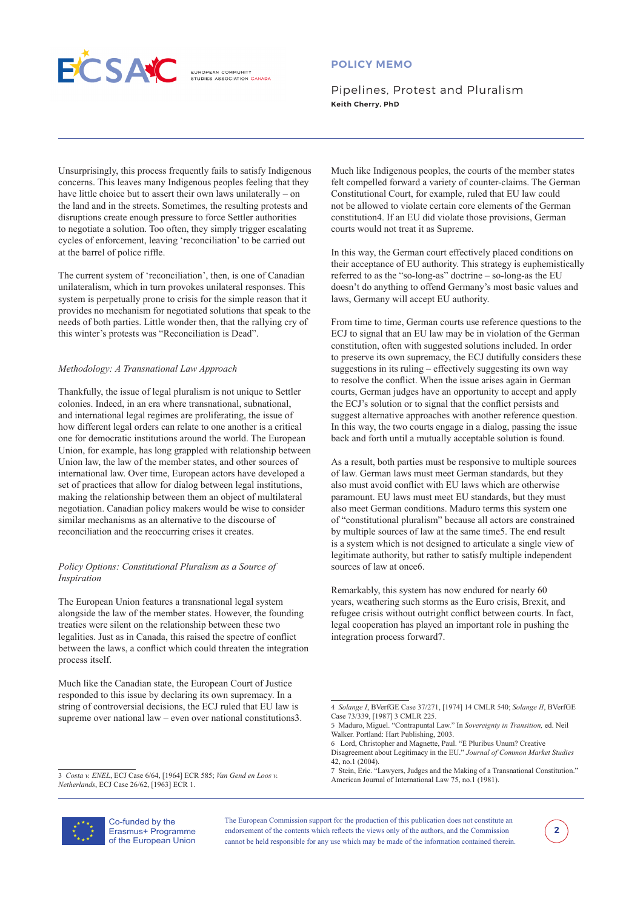

**ELIBOREAN COMMUNITY** DIES ASSOCIATION CANADA

# **POLICY MEMO**

Pipelines, Protest and Pluralism **Keith Cherry, PhD** 

Unsurprisingly, this process frequently fails to satisfy Indigenous concerns. This leaves many Indigenous peoples feeling that they have little choice but to assert their own laws unilaterally – on the land and in the streets. Sometimes, the resulting protests and disruptions create enough pressure to force Settler authorities to negotiate a solution. Too often, they simply trigger escalating cycles of enforcement, leaving 'reconciliation' to be carried out at the barrel of police riffle.

The current system of 'reconciliation', then, is one of Canadian unilateralism, which in turn provokes unilateral responses. This system is perpetually prone to crisis for the simple reason that it provides no mechanism for negotiated solutions that speak to the needs of both parties. Little wonder then, that the rallying cry of this winter's protests was "Reconciliation is Dead".

## *Methodology: A Transnational Law Approach*

Thankfully, the issue of legal pluralism is not unique to Settler colonies. Indeed, in an era where transnational, subnational, and international legal regimes are proliferating, the issue of how different legal orders can relate to one another is a critical one for democratic institutions around the world. The European Union, for example, has long grappled with relationship between Union law, the law of the member states, and other sources of international law. Over time, European actors have developed a set of practices that allow for dialog between legal institutions, making the relationship between them an object of multilateral negotiation. Canadian policy makers would be wise to consider similar mechanisms as an alternative to the discourse of reconciliation and the reoccurring crises it creates.

## *Policy Options: Constitutional Pluralism as a Source of Inspiration*

The European Union features a transnational legal system alongside the law of the member states. However, the founding treaties were silent on the relationship between these two legalities. Just as in Canada, this raised the spectre of conflict between the laws, a conflict which could threaten the integration process itself.

Much like the Canadian state, the European Court of Justice responded to this issue by declaring its own supremacy. In a string of controversial decisions, the ECJ ruled that EU law is supreme over national law – even over national constitutions3.

3 *Costa v. ENEL*, ECJ Case 6/64, [1964] ECR 585; *Van Gend en Loos v. Netherlands*, ECJ Case 26/62, [1963] ECR 1.

Much like Indigenous peoples, the courts of the member states felt compelled forward a variety of counter-claims. The German Constitutional Court, for example, ruled that EU law could not be allowed to violate certain core elements of the German constitution4. If an EU did violate those provisions, German courts would not treat it as Supreme.

In this way, the German court effectively placed conditions on their acceptance of EU authority. This strategy is euphemistically referred to as the "so-long-as" doctrine – so-long-as the EU doesn't do anything to offend Germany's most basic values and laws, Germany will accept EU authority.

From time to time, German courts use reference questions to the ECJ to signal that an EU law may be in violation of the German constitution, often with suggested solutions included. In order to preserve its own supremacy, the ECJ dutifully considers these suggestions in its ruling – effectively suggesting its own way to resolve the conflict. When the issue arises again in German courts, German judges have an opportunity to accept and apply the ECJ's solution or to signal that the conflict persists and suggest alternative approaches with another reference question. In this way, the two courts engage in a dialog, passing the issue back and forth until a mutually acceptable solution is found.

As a result, both parties must be responsive to multiple sources of law. German laws must meet German standards, but they also must avoid conflict with EU laws which are otherwise paramount. EU laws must meet EU standards, but they must also meet German conditions. Maduro terms this system one of "constitutional pluralism" because all actors are constrained by multiple sources of law at the same time5. The end result is a system which is not designed to articulate a single view of legitimate authority, but rather to satisfy multiple independent sources of law at once6.

Remarkably, this system has now endured for nearly 60 years, weathering such storms as the Euro crisis, Brexit, and refugee crisis without outright conflict between courts. In fact, legal cooperation has played an important role in pushing the integration process forward7.



Co-funded by the Erasmus+ Programme of the European Union



<sup>4</sup> *Solange I*, BVerfGE Case 37/271, [1974] 14 CMLR 540; *Solange II*, BVerfGE Case 73/339, [1987] 3 CMLR 225.

<sup>5</sup> Maduro, Miguel. "Contrapuntal Law." In *Sovereignty in Transition,* ed. Neil Walker. Portland: Hart Publishing, 2003.

<sup>6</sup> Lord, Christopher and Magnette, Paul. "E Pluribus Unum? Creative Disagreement about Legitimacy in the EU." *Journal of Common Market Studies* 42, no.1 (2004).

<sup>7</sup> Stein, Eric. "Lawyers, Judges and the Making of a Transnational Constitution." American Journal of International Law 75, no.1 (1981).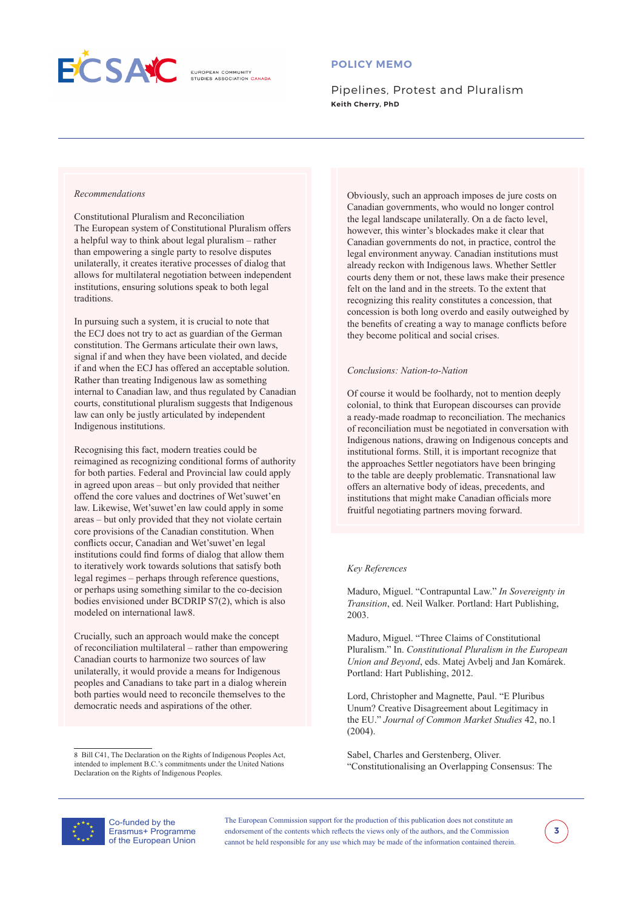

**ELIBOREAN COMMUNITY** 

# **POLICY MEMO**

Pipelines, Protest and Pluralism **Keith Cherry, PhD**

## *Recommendations*

Constitutional Pluralism and Reconciliation The European system of Constitutional Pluralism offers a helpful way to think about legal pluralism – rather than empowering a single party to resolve disputes unilaterally, it creates iterative processes of dialog that allows for multilateral negotiation between independent institutions, ensuring solutions speak to both legal traditions.

In pursuing such a system, it is crucial to note that the ECJ does not try to act as guardian of the German constitution. The Germans articulate their own laws, signal if and when they have been violated, and decide if and when the ECJ has offered an acceptable solution. Rather than treating Indigenous law as something internal to Canadian law, and thus regulated by Canadian courts, constitutional pluralism suggests that Indigenous law can only be justly articulated by independent Indigenous institutions.

Recognising this fact, modern treaties could be reimagined as recognizing conditional forms of authority for both parties. Federal and Provincial law could apply in agreed upon areas – but only provided that neither offend the core values and doctrines of Wet'suwet'en law. Likewise, Wet'suwet'en law could apply in some areas – but only provided that they not violate certain core provisions of the Canadian constitution. When conflicts occur, Canadian and Wet'suwet'en legal institutions could find forms of dialog that allow them to iteratively work towards solutions that satisfy both legal regimes – perhaps through reference questions, or perhaps using something similar to the co-decision bodies envisioned under BCDRIP S7(2), which is also modeled on international law8.

Crucially, such an approach would make the concept of reconciliation multilateral – rather than empowering Canadian courts to harmonize two sources of law unilaterally, it would provide a means for Indigenous peoples and Canadians to take part in a dialog wherein both parties would need to reconcile themselves to the democratic needs and aspirations of the other.

8 Bill C41, The Declaration on the Rights of Indigenous Peoples Act, intended to implement B.C.'s commitments under the United Nations Declaration on the Rights of Indigenous Peoples.

Obviously, such an approach imposes de jure costs on Canadian governments, who would no longer control the legal landscape unilaterally. On a de facto level, however, this winter's blockades make it clear that Canadian governments do not, in practice, control the legal environment anyway. Canadian institutions must already reckon with Indigenous laws. Whether Settler courts deny them or not, these laws make their presence felt on the land and in the streets. To the extent that recognizing this reality constitutes a concession, that concession is both long overdo and easily outweighed by the benefits of creating a way to manage conflicts before they become political and social crises.

#### *Conclusions: Nation-to-Nation*

Of course it would be foolhardy, not to mention deeply colonial, to think that European discourses can provide a ready-made roadmap to reconciliation. The mechanics of reconciliation must be negotiated in conversation with Indigenous nations, drawing on Indigenous concepts and institutional forms. Still, it is important recognize that the approaches Settler negotiators have been bringing to the table are deeply problematic. Transnational law offers an alternative body of ideas, precedents, and institutions that might make Canadian officials more fruitful negotiating partners moving forward.

#### *Key References*

Maduro, Miguel. "Contrapuntal Law." *In Sovereignty in Transition*, ed. Neil Walker. Portland: Hart Publishing, 2003.

Maduro, Miguel. "Three Claims of Constitutional Pluralism." In. *Constitutional Pluralism in the European Union and Beyond*, eds. Matej Avbelj and Jan Komárek. Portland: Hart Publishing, 2012.

Lord, Christopher and Magnette, Paul. "E Pluribus Unum? Creative Disagreement about Legitimacy in the EU." *Journal of Common Market Studies* 42, no.1 (2004).

Sabel, Charles and Gerstenberg, Oliver. "Constitutionalising an Overlapping Consensus: The



Co-funded by the Erasmus+ Programme of the European Union